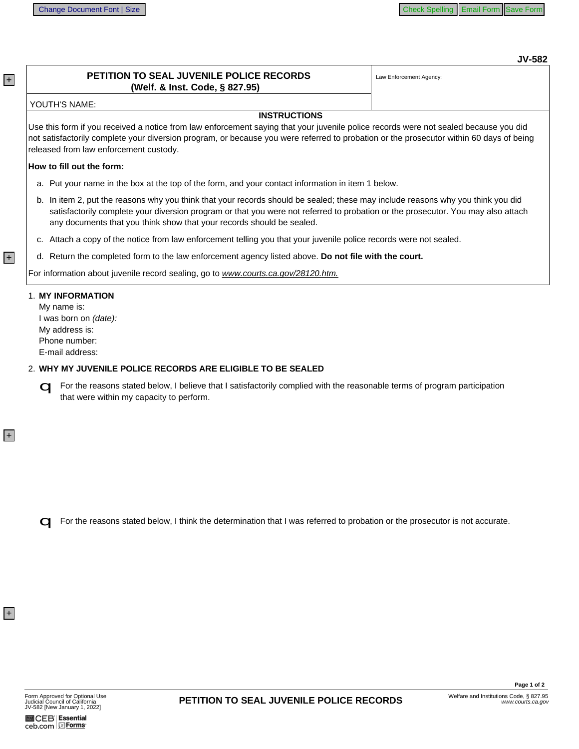# **JV-582**

# PETITION TO SEAL JUVENILE POLICE RECORDS (Welf. & Inst. Code, § 827.95)

Law Enforcement Agency:

#### YOUTH'S NAME:

### **INSTRUCTIONS**

Use this form if you received a notice from law enforcement saying that your juvenile police records were not sealed because you did not satisfactorily complete your diversion program, or because you were referred to probation or the prosecutor within 60 days of being released from law enforcement custody.

### How to fill out the form:

- a. Put your name in the box at the top of the form, and your contact information in item 1 below.
- b. In item 2, put the reasons why you think that your records should be sealed; these may include reasons why you think you did satisfactorily complete your diversion program or that you were not referred to probation or the prosecutor. You may also attach any documents that you think show that your records should be sealed.
- c. Attach a copy of the notice from law enforcement telling you that your juvenile police records were not sealed.
- d. Return the completed form to the law enforcement agency listed above. Do not file with the court.

For information about juvenile record sealing, go to www.courts.ca.gov/28120.htm.

### 1. MY INFORMATION

My name is: I was born on (date): Mv address is: Phone number: E-mail address:

## 2. WHY MY JUVENILE POLICE RECORDS ARE ELIGIBLE TO BE SEALED

G For the reasons stated below, I believe that I satisfactorily complied with the reasonable terms of program participation that were within my capacity to perform.

G For the reasons stated below, I think the determination that I was referred to probation or the prosecutor is not accurate.

 $+$ 

 $|+|$ 

 $|+|$ 

 $+$